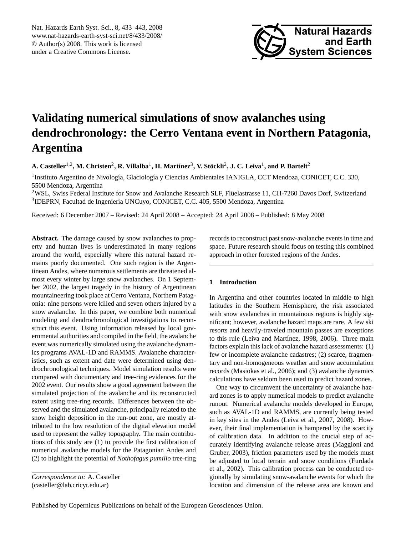<span id="page-0-0"></span>Nat. Hazards Earth Syst. Sci., 8, 433–443, 2008 www.nat-hazards-earth-syst-sci.net/8/433/2008/ © Author(s) 2008. This work is licensed under a Creative Commons License.



# **Validating numerical simulations of snow avalanches using dendrochronology: the Cerro Ventana event in Northern Patagonia, Argentina**

 $\bf{A.}$  Casteller<sup>1,2</sup>,  $\bf{M.}$  Christen<sup>2</sup>,  $\bf{R.}$  Villalba<sup>1</sup>,  $\bf{H.}$  Martínez $^3$ ,  $\bf{V.}$  Stöckli $^2$ , J. C. Leiva<sup>1</sup>, and P. Bartelt $^2$ 

<sup>1</sup>Instituto Argentino de Nivología, Glaciología y Ciencias Ambientales IANIGLA, CCT Mendoza, CONICET, C.C. 330, 5500 Mendoza, Argentina

<sup>2</sup>WSL, Swiss Federal Institute for Snow and Avalanche Research SLF, Fluelastrasse 11, CH-7260 Davos Dorf, Switzerland ¨ <sup>3</sup>IDEPRN, Facultad de Ingeniería UNCuyo, CONICET, C.C. 405, 5500 Mendoza, Argentina

Received: 6 December 2007 – Revised: 24 April 2008 – Accepted: 24 April 2008 – Published: 8 May 2008

**Abstract.** The damage caused by snow avalanches to property and human lives is underestimated in many regions around the world, especially where this natural hazard remains poorly documented. One such region is the Argentinean Andes, where numerous settlements are threatened almost every winter by large snow avalanches. On 1 September 2002, the largest tragedy in the history of Argentinean mountaineering took place at Cerro Ventana, Northern Patagonia: nine persons were killed and seven others injured by a snow avalanche. In this paper, we combine both numerical modeling and dendrochronological investigations to reconstruct this event. Using information released by local governmental authorities and compiled in the field, the avalanche event was numerically simulated using the avalanche dynamics programs AVAL-1D and RAMMS. Avalanche characteristics, such as extent and date were determined using dendrochronological techniques. Model simulation results were compared with documentary and tree-ring evidences for the 2002 event. Our results show a good agreement between the simulated projection of the avalanche and its reconstructed extent using tree-ring records. Differences between the observed and the simulated avalanche, principally related to the snow height deposition in the run-out zone, are mostly attributed to the low resolution of the digital elevation model used to represent the valley topography. The main contributions of this study are (1) to provide the first calibration of numerical avalanche models for the Patagonian Andes and (2) to highlight the potential of *Nothofagus pumilio* tree-ring

*Correspondence to:* A. Casteller (casteller@lab.cricyt.edu.ar)

records to reconstruct past snow-avalanche events in time and space. Future research should focus on testing this combined approach in other forested regions of the Andes.

### **1 Introduction**

In Argentina and other countries located in middle to high latitudes in the Southern Hemisphere, the risk associated with snow avalanches in mountainous regions is highly significant; however, avalanche hazard maps are rare. A few ski resorts and heavily-traveled mountain passes are exceptions to this rule (Leiva and Martínez, 1998, 2006). Three main factors explain this lack of avalanche hazard assessments: (1) few or incomplete avalanche cadastres; (2) scarce, fragmentary and non-homogeneous weather and snow accumulation records (Masiokas et al., 2006); and (3) avalanche dynamics calculations have seldom been used to predict hazard zones.

One way to circumvent the uncertainty of avalanche hazard zones is to apply numerical models to predict avalanche runout. Numerical avalanche models developed in Europe, such as AVAL-1D and RAMMS, are currently being tested in key sites in the Andes (Leiva et al., 2007, 2008). However, their final implementation is hampered by the scarcity of calibration data. In addition to the crucial step of accurately identifying avalanche release areas (Maggioni and Gruber, 2003), friction parameters used by the models must be adjusted to local terrain and snow conditions (Furdada et al., 2002). This calibration process can be conducted regionally by simulating snow-avalanche events for which the location and dimension of the release area are known and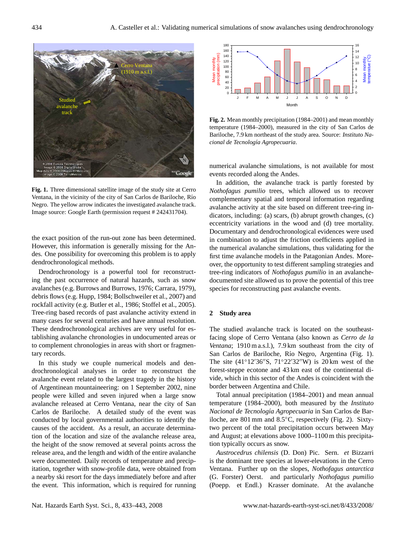

**Fig. 1.** Three dimensional satellite image of the study site at Cerro Ventana, in the vicinity of the city of San Carlos de Bariloche, Río Negro. The yellow arrow indicates the investigated avalanche track. Image source: Google Earth (permission request # 242431704).

the exact position of the run-out zone has been determined. However, this information is generally missing for the Andes. One possibility for overcoming this problem is to apply dendrochronological methods.

Dendrochronology is a powerful tool for reconstructing the past occurrence of natural hazards, such as snow avalanches (e.g. Burrows and Burrows, 1976; Carrara, 1979), debris flows (e.g. Hupp, 1984; Bollschweiler et al., 2007) and rockfall activity (e.g. Butler et al., 1986; Stoffel et al., 2005). Tree-ring based records of past avalanche activity extend in many cases for several centuries and have annual resolution. These dendrochronological archives are very useful for establishing avalanche chronologies in undocumented areas or to complement chronologies in areas with short or fragmentary records.

In this study we couple numerical models and dendrochronological analyses in order to reconstruct the avalanche event related to the largest tragedy in the history of Argentinean mountaineering: on 1 September 2002, nine people were killed and seven injured when a large snow avalanche released at Cerro Ventana, near the city of San Carlos de Bariloche. A detailed study of the event was conducted by local governmental authorities to identify the causes of the accident. As a result, an accurate determination of the location and size of the avalanche release area, the height of the snow removed at several points across the release area, and the length and width of the entire avalanche were documented. Daily records of temperature and precipitation, together with snow-profile data, were obtained from a nearby ski resort for the days immediately before and after the event. This information, which is required for running



**Fig. 2.** Mean monthly precipitation (1984–2001) and mean monthly temperature (1984–2000), measured in the city of San Carlos de Bariloche, 7.9 km northeast of the study area. Source: *Instituto Nacional de Tecnolog´ıa Agropecuaria*.

numerical avalanche simulations, is not available for most events recorded along the Andes.

In addition, the avalanche track is partly forested by *Nothofagus pumilio* trees, which allowed us to recover complementary spatial and temporal information regarding avalanche activity at the site based on different tree-ring indicators, including: (a) scars, (b) abrupt growth changes, (c) eccentricity variations in the wood and (d) tree mortality. Documentary and dendrochronological evidences were used in combination to adjust the friction coefficients applied in the numerical avalanche simulations, thus validating for the first time avalanche models in the Patagonian Andes. Moreover, the opportunity to test different sampling strategies and tree-ring indicators of *Nothofagus pumilio* in an avalanchedocumented site allowed us to prove the potential of this tree species for reconstructing past avalanche events.

#### **2 Study area**

The studied avalanche track is located on the southeastfacing slope of Cerro Ventana (also known as *Cerro de la Ventana*; 1910 m a.s.l.), 7.9 km southeast from the city of San Carlos de Bariloche, Río Negro, Argentina (Fig. 1). The site  $(41°12'36''S, 71°22'32''W)$  is 20 km west of the forest-steppe ecotone and 43 km east of the continental divide, which in this sector of the Andes is coincident with the border between Argentina and Chile.

Total annual precipitation (1984–2001) and mean annual temperature (1984–2000), both measured by the *Instituto Nacional de Tecnolog´ıa Agropecuaria* in San Carlos de Bariloche, are 801 mm and 8.5◦C, respectively (Fig. 2). Sixtytwo percent of the total precipitation occurs between May and August; at elevations above 1000–1100 m this precipitation typically occurs as snow.

*Austrocedrus chilensis* (D. Don) Pic. Sern. *et* Bizzarri is the dominant tree species at lower-elevations in the Cerro Ventana. Further up on the slopes, *Nothofagus antarctica* (G. Forster) Oerst. and particularly *Nothofagus pumilio* (Poepp. et Endl.) Krasser dominate. At the avalanche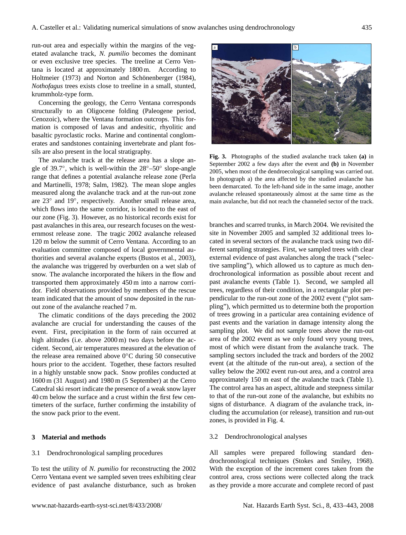run-out area and especially within the margins of the vegetated avalanche track, *N. pumilio* becomes the dominant or even exclusive tree species. The treeline at Cerro Ventana is located at approximately 1800 m. According to Holtmeier (1973) and Norton and Schönenberger (1984), *Nothofagus* trees exists close to treeline in a small, stunted, krummholz-type form.

Concerning the geology, the Cerro Ventana corresponds structurally to an Oligocene folding (Paleogene period, Cenozoic), where the Ventana formation outcrops. This formation is composed of lavas and andesitic, rhyolitic and basaltic pyroclastic rocks. Marine and continental conglomerates and sandstones containing invertebrate and plant fossils are also present in the local stratigraphy.

The avalanche track at the release area has a slope angle of 39.7◦ , which is well-within the 28◦–50◦ slope-angle range that defines a potential avalanche release zone (Perla and Martinelli, 1978; Salm, 1982). The mean slope angles measured along the avalanche track and at the run-out zone are 23◦ and 19◦ , respectively. Another small release area, which flows into the same corridor, is located to the east of our zone (Fig. 3). However, as no historical records exist for past avalanches in this area, our research focuses on the westernmost release zone. The tragic 2002 avalanche released 120 m below the summit of Cerro Ventana. According to an evaluation committee composed of local governmental authorities and several avalanche experts (Bustos et al., 2003), the avalanche was triggered by overburden on a wet slab of snow. The avalanche incorporated the hikers in the flow and transported them approximately 450 m into a narrow corridor. Field observations provided by members of the rescue team indicated that the amount of snow deposited in the runout zone of the avalanche reached 7 m.

The climatic conditions of the days preceding the 2002 avalanche are crucial for understanding the causes of the event. First, precipitation in the form of rain occurred at high altitudes (i.e. above 2000 m) two days before the accident. Second, air temperatures measured at the elevation of the release area remained above 0◦C during 50 consecutive hours prior to the accident. Together, these factors resulted in a highly unstable snow pack. Snow profiles conducted at 1600 m (31 August) and 1980 m (5 September) at the Cerro Catedral ski resort indicate the presence of a weak snow layer 40 cm below the surface and a crust within the first few centimeters of the surface, further confirming the instability of the snow pack prior to the event.

# **3 Material and methods**

#### 3.1 Dendrochronological sampling procedures

To test the utility of *N. pumilio* for reconstructing the 2002 Cerro Ventana event we sampled seven trees exhibiting clear evidence of past avalanche disturbance, such as broken



**Fig. 3.** Photographs of the studied avalanche track taken **(a)** in September 2002 a few days after the event and **(b)** in November 2005, when most of the dendroecological sampling was carried out. In photograph a) the area affected by the studied avalanche has been demarcated. To the left-hand side in the same image, another avalanche released spontaneously almost at the same time as the main avalanche, but did not reach the channeled sector of the track.

branches and scarred trunks, in March 2004. We revisited the site in November 2005 and sampled 32 additional trees located in several sectors of the avalanche track using two different sampling strategies. First, we sampled trees with clear external evidence of past avalanches along the track ("selective sampling"), which allowed us to capture as much dendrochronological information as possible about recent and past avalanche events (Table 1). Second, we sampled all trees, regardless of their condition, in a rectangular plot perpendicular to the run-out zone of the 2002 event ("plot sampling"), which permitted us to determine both the proportion of trees growing in a particular area containing evidence of past events and the variation in damage intensity along the sampling plot. We did not sample trees above the run-out area of the 2002 event as we only found very young trees, most of which were distant from the avalanche track. The sampling sectors included the track and borders of the 2002 event (at the altitude of the run-out area), a section of the valley below the 2002 event run-out area, and a control area approximately 150 m east of the avalanche track (Table 1). The control area has an aspect, altitude and steepness similar to that of the run-out zone of the avalanche, but exhibits no signs of disturbance. A diagram of the avalanche track, including the accumulation (or release), transition and run-out zones, is provided in Fig. 4.

#### 3.2 Dendrochronological analyses

All samples were prepared following standard dendrochronological techniques (Stokes and Smiley, 1968). With the exception of the increment cores taken from the control area, cross sections were collected along the track as they provide a more accurate and complete record of past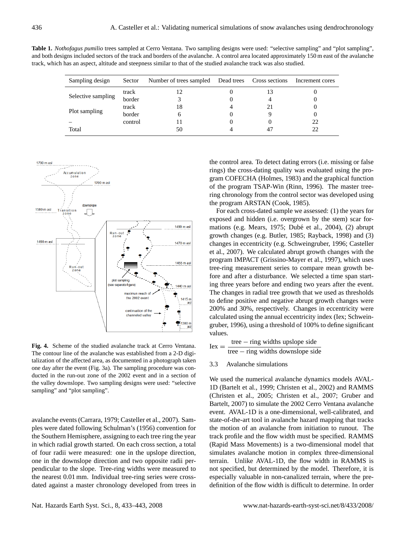**Table 1.** *Nothofagus pumilio* trees sampled at Cerro Ventana. Two sampling designs were used: "selective sampling" and "plot sampling", and both designs included sectors of the track and borders of the avalanche. A control area located approximately 150 m east of the avalanche track, which has an aspect, altitude and steepness similar to that of the studied avalanche track was also studied.

| Sampling design    | Sector  | Number of trees sampled | Dead trees Cross sections | Increment cores |
|--------------------|---------|-------------------------|---------------------------|-----------------|
| Selective sampling | track   |                         |                           |                 |
|                    | border  |                         |                           |                 |
| Plot sampling      | track   | 18                      |                           |                 |
|                    | border  |                         |                           |                 |
|                    | control |                         |                           | 22              |
| Total              |         | 50                      |                           | າາ              |



**Fig. 4.** Scheme of the studied avalanche track at Cerro Ventana. The contour line of the avalanche was established from a 2-D digitalization of the affected area, as documented in a photograph taken one day after the event (Fig. 3a). The sampling procedure was conducted in the run-out zone of the 2002 event and in a section of the valley downslope. Two sampling designs were used: "selective sampling" and "plot sampling".

avalanche events (Carrara, 1979; Casteller et al., 2007). Samples were dated following Schulman's (1956) convention for the Southern Hemisphere, assigning to each tree ring the year in which radial growth started. On each cross section, a total of four radii were measured: one in the upslope direction, one in the downslope direction and two opposite radii perpendicular to the slope. Tree-ring widths were measured to the nearest 0.01 mm. Individual tree-ring series were crossdated against a master chronology developed from trees in the control area. To detect dating errors (i.e. missing or false rings) the cross-dating quality was evaluated using the program COFECHA (Holmes, 1983) and the graphical function of the program TSAP-Win (Rinn, 1996). The master treering chronology from the control sector was developed using the program ARSTAN (Cook, 1985).

For each cross-dated sample we assessed: (1) the years for exposed and hidden (i.e. overgrown by the stem) scar formations (e.g. Mears, 1975; Dubé et al., 2004), (2) abrupt growth changes (e.g. Butler, 1985; Rayback, 1998) and (3) changes in eccentricity (e.g. Schweingruber, 1996; Casteller et al., 2007). We calculated abrupt growth changes with the program IMPACT (Grissino-Mayer et al., 1997), which uses tree-ring measurement series to compare mean growth before and after a disturbance. We selected a time span starting three years before and ending two years after the event. The changes in radial tree growth that we used as thresholds to define positive and negative abrupt growth changes were 200% and 30%, respectively. Changes in eccentricity were calculated using the annual eccentricity index (Iex; Schweingruber, 1996), using a threshold of 100% to define significant values.

 $Iex =$ tree − ring widths upslope side tree − ring widths downslope side

3.3 Avalanche simulations

We used the numerical avalanche dynamics models AVAL-1D (Bartelt et al., 1999; Christen et al., 2002) and RAMMS (Christen et al., 2005; Christen et al., 2007; Gruber and Bartelt, 2007) to simulate the 2002 Cerro Ventana avalanche event. AVAL-1D is a one-dimensional, well-calibrated, and state-of-the-art tool in avalanche hazard mapping that tracks the motion of an avalanche from initiation to runout. The track profile and the flow width must be specified. RAMMS (Rapid Mass Movements) is a two-dimensional model that simulates avalanche motion in complex three-dimensional terrain. Unlike AVAL-1D, the flow width in RAMMS is not specified, but determined by the model. Therefore, it is especially valuable in non-canalized terrain, where the predefinition of the flow width is difficult to determine. In order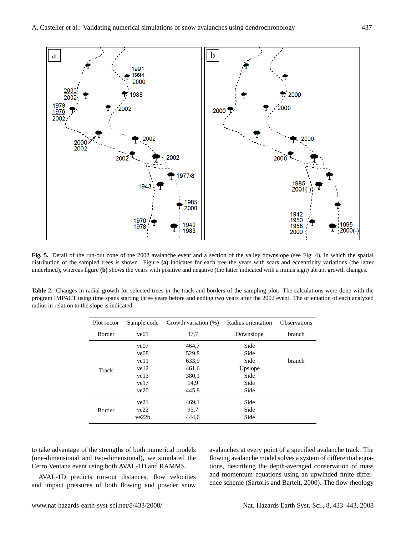

**Fig. 5.** Detail of the run-out zone of the 2002 avalanche event and a section of the valley downslope (see Fig. 4), in which the spatial distribution of the sampled trees is shown. Figure **(a)** indicates for each tree the years with scars and eccentricity variations (the latter underlined), whereas figure **(b)** shows the years with positive and negative (the latter indicated with a minus sign) abrupt growth changes.

**Table 2.** Changes in radial growth for selected trees in the track and borders of the sampling plot. The calculations were done with the program IMPACT using time spans starting three years before and ending two years after the 2002 event. The orientation of each analyzed radius in relation to the slope is indicated.

| Plot sector | Sample code | Growth variation (%) | Radius orientation | <b>Observations</b> |
|-------------|-------------|----------------------|--------------------|---------------------|
| Border      | ve01        | 37,7                 | Downslope          | branch              |
| Track       | ve07        | 464,7                | Side               |                     |
|             | ve08        | 529,8                | Side               |                     |
|             | ve11        | 633.9                | Side               | branch              |
|             | ve12        | 461,6                | Upslope            |                     |
|             | ve13        | 380,1                | Side               |                     |
|             | ve17        | 14.9                 | Side               |                     |
|             | ve20        | 445,8                | Side               |                     |
| Border      | ve21        | 469,1                | Side               |                     |
|             | ve22        | 95,7                 | Side               |                     |
|             | ve22b       | 444.6                | Side               |                     |

to take advantage of the strengths of both numerical models (one-dimensional and two-dimensional), we simulated the Cerro Ventana event using both AVAL-1D and RAMMS.

AVAL-1D predicts run-out distances, flow velocities and impact pressures of both flowing and powder snow avalanches at every point of a specified avalanche track. The flowing avalanche model solves a system of differential equations, describing the depth-averaged conservation of mass and momentum equations using an upwinded finite difference scheme (Sartoris and Bartelt, 2000). The flow rheology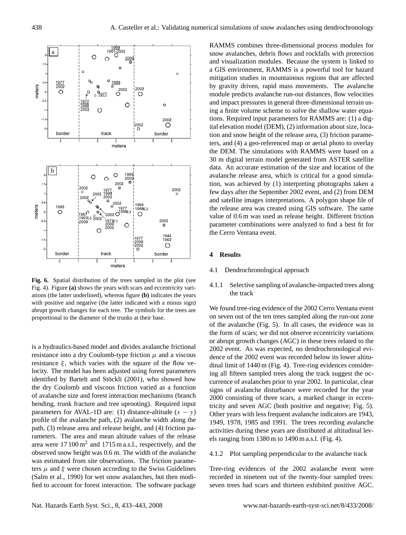

**Fig. 6.** Spatial distribution of the trees sampled in the plot (see Fig. 4). Figure **(a)** shows the years with scars and eccentricity variations (the latter underlined), whereas figure **(b)** indicates the years with positive and negative (the latter indicated with a minus sign) abrupt growth changes for each tree. The symbols for the trees are proportional to the diameter of the trunks at their base.

is a hydraulics-based model and divides avalanche frictional resistance into a dry Coulomb-type friction  $\mu$  and a viscous resistance  $\xi$ , which varies with the square of the flow velocity. The model has been adjusted using forest parameters identified by Bartelt and Stöckli (2001), who showed how the dry Coulomb and viscous friction varied as a function of avalanche size and forest interaction mechanisms (branch bending, trunk fracture and tree uprooting). Required input parameters for AVAL-1D are: (1) distance-altitude  $(x - y)$ profile of the avalanche path, (2) avalanche width along the path, (3) release area and release height, and (4) friction parameters. The area and mean altitude values of the release area were  $17100 \text{ m}^2$  and  $1715 \text{ m a.s.}$ l., respectively, and the observed snow height was 0.6 m. The width of the avalanche was estimated from site observations. The friction parameters  $\mu$  and  $\xi$  were chosen according to the Swiss Guidelines (Salm et al., 1990) for wet snow avalanches, but then modified to account for forest interaction. The software package RAMMS combines three-dimensional process modules for snow avalanches, debris flows and rockfalls with protection and visualization modules. Because the system is linked to a GIS environment, RAMMS is a powerful tool for hazard mitigation studies in mountainous regions that are affected by gravity driven, rapid mass movements. The avalanche module predicts avalanche run-out distances, flow velocities and impact pressures in general three-dimensional terrain using a finite volume scheme to solve the shallow water equations. Required input parameters for RAMMS are: (1) a digital elevation model (DEM), (2) information about size, location and snow height of the release area, (3) friction parameters, and (4) a geo-referenced map or aerial photo to overlay the DEM. The simulations with RAMMS were based on a 30 m digital terrain model generated from ASTER satellite data. An accurate estimation of the size and location of the avalanche release area, which is critical for a good simulation, was achieved by (1) interpreting photographs taken a few days after the September 2002 event, and (2) from DEM and satellite images interpretations. A polygon shape file of the release area was created using GIS software. The same value of 0.6 m was used as release height. Different friction parameter combinations were analyzed to find a best fit for the Cerro Ventana event.

## **4 Results**

- 4.1 Dendrochronological approach
- 4.1.1 Selective sampling of avalanche-impacted trees along the track

We found tree-ring evidence of the 2002 Cerro Ventana event on seven out of the ten trees sampled along the run-out zone of the avalanche (Fig. 5). In all cases, the evidence was in the form of scars; we did not observe eccentricity variations or abrupt growth changes (AGC) in these trees related to the 2002 event. As was expected, no dendrochronological evidence of the 2002 event was recorded below its lower altitudinal limit of 1440 m (Fig. 4). Tree-ring evidences considering all fifteen sampled trees along the track suggest the occurrence of avalanches prior to year 2002. In particular, clear signs of avalanche disturbance were recorded for the year 2000 consisting of three scars, a marked change in eccentricity and seven AGC (both positive and negative; Fig. 5). Other years with less frequent avalanche indicators are 1943, 1949, 1978, 1985 and 1991. The trees recording avalanche activities during these years are distributed at altitudinal levels ranging from 1380 m to 1490 m a.s.l. (Fig. 4).

# 4.1.2 Plot sampling perpendicular to the avalanche track

Tree-ring evidences of the 2002 avalanche event were recorded in nineteen out of the twenty-four sampled trees: seven trees had scars and thirteen exhibited positive AGC.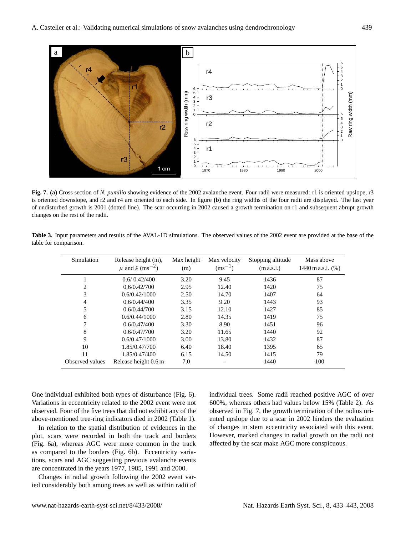

**Fig. 7. (a)** Cross section of *N. pumilio* showing evidence of the 2002 avalanche event. Four radii were measured: r1 is oriented upslope, r3 is oriented downslope, and r2 and r4 are oriented to each side. In figure **(b)** the ring widths of the four radii are displayed. The last year of undisturbed growth is 2001 (dotted line). The scar occurring in 2002 caused a growth termination on r1 and subsequent abrupt growth changes on the rest of the radii.

**Table 3.** Input parameters and results of the AVAL-1D simulations. The observed values of the 2002 event are provided at the base of the table for comparison.

| Simulation      | Release height (m),<br>$\mu$ and $\xi$ (ms <sup>-2</sup> ) | Max height<br>(m) | Max velocity<br>$\rm (ms^{-1})$ | Stopping altitude<br>(m a.s.l.) | Mass above<br>1440 m a.s.l. $(\%)$ |
|-----------------|------------------------------------------------------------|-------------------|---------------------------------|---------------------------------|------------------------------------|
|                 | 0.6/0.42/400                                               | 3.20              | 9.45                            | 1436                            | 87                                 |
| 2               | 0.6/0.42/700                                               | 2.95              | 12.40                           | 1420                            | 75                                 |
| 3               | 0.6/0.42/1000                                              | 2.50              | 14.70                           | 1407                            | 64                                 |
| $\overline{4}$  | 0.6/0.44/400                                               | 3.35              | 9.20                            | 1443                            | 93                                 |
| 5               | 0.6/0.44/700                                               | 3.15              | 12.10                           | 1427                            | 85                                 |
| 6               | 0.6/0.44/1000                                              | 2.80              | 14.35                           | 1419                            | 75                                 |
| 7               | 0.6/0.47/400                                               | 3.30              | 8.90                            | 1451                            | 96                                 |
| 8               | 0.6/0.47/700                                               | 3.20              | 11.65                           | 1440                            | 92                                 |
| 9               | 0.6/0.47/1000                                              | 3.00              | 13.80                           | 1432                            | 87                                 |
| 10              | 1.85/0.47/700                                              | 6.40              | 18.40                           | 1395                            | 65                                 |
| 11              | 1.85/0.47/400                                              | 6.15              | 14.50                           | 1415                            | 79                                 |
| Observed values | Release height 0.6 m                                       | 7.0               |                                 | 1440                            | 100                                |

One individual exhibited both types of disturbance (Fig. 6). Variations in eccentricity related to the 2002 event were not observed. Four of the five trees that did not exhibit any of the above-mentioned tree-ring indicators died in 2002 (Table 1).

In relation to the spatial distribution of evidences in the plot, scars were recorded in both the track and borders (Fig. 6a), whereas AGC were more common in the track as compared to the borders (Fig. 6b). Eccentricity variations, scars and AGC suggesting previous avalanche events are concentrated in the years 1977, 1985, 1991 and 2000.

Changes in radial growth following the 2002 event varied considerably both among trees as well as within radii of individual trees. Some radii reached positive AGC of over 600%, whereas others had values below 15% (Table 2). As observed in Fig. 7, the growth termination of the radius oriented upslope due to a scar in 2002 hinders the evaluation of changes in stem eccentricity associated with this event. However, marked changes in radial growth on the radii not affected by the scar make AGC more conspicuous.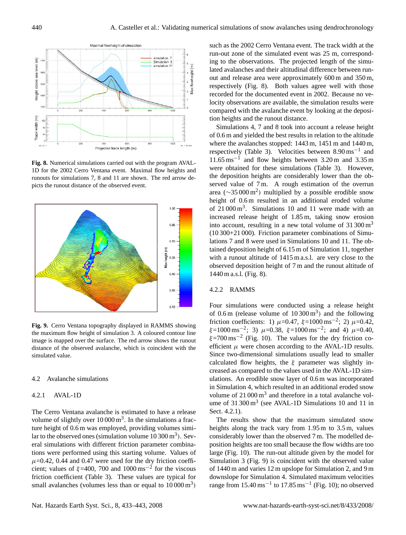

**Fig. 8.** Numerical simulations carried out with the program AVAL-1D for the 2002 Cerro Ventana event. Maximal flow heights and runouts for simulations 7, 8 and 11 are shown. The red arrow depicts the runout distance of the observed event.



**Fig. 9.** Cerro Ventana topography displayed in RAMMS showing the maximum flow height of simulation 3. A coloured contour line image is mapped over the surface. The red arrow shows the runout distance of the observed avalanche, which is coincident with the simulated value.

## 4.2 Avalanche simulations

# 4.2.1 AVAL-1D

The Cerro Ventana avalanche is estimated to have a release volume of slightly over  $10000 \,\mathrm{m}^3$ . In the simulations a fracture height of 0.6 m was employed, providing volumes similar to the observed ones (simulation volume  $10300 \,\mathrm{m}^3$ ). Several simulations with different friction parameter combinations were performed using this starting volume. Values of  $\mu$ =0.42, 0.44 and 0.47 were used for the dry friction coefficient; values of  $\xi$ =400, 700 and 1000 ms<sup>-2</sup> for the viscous friction coefficient (Table 3). These values are typical for small avalanches (volumes less than or equal to  $10000 \text{ m}^3$ )

such as the 2002 Cerro Ventana event. The track width at the run-out zone of the simulated event was 25 m, corresponding to the observations. The projected length of the simulated avalanches and their altitudinal difference between runout and release area were approximately 600 m and 350 m, respectively (Fig. 8). Both values agree well with those recorded for the documented event in 2002. Because no velocity observations are available, the simulation results were compared with the avalanche event by looking at the deposition heights and the runout distance.

Simulations 4, 7 and 8 took into account a release height of 0.6 m and yielded the best results in relation to the altitude where the avalanches stopped: 1443 m, 1451 m and 1440 m, respectively (Table 3). Velocities between 8.90 ms−<sup>1</sup> and 11.65 ms−<sup>1</sup> and flow heights between 3.20 m and 3.35 m were obtained for these simulations (Table 3). However, the deposition heights are considerably lower than the observed value of 7m. A rough estimation of the overrun area ( $\sim$ 35 000 m<sup>2</sup>) multiplied by a possible erodible snow height of 0.6 m resulted in an additional eroded volume of  $21000 \text{ m}^3$ . Simulations 10 and 11 were made with an increased release height of 1.85 m, taking snow erosion into account, resulting in a new total volume of  $31,300 \,\mathrm{m}^3$ (10 300+21 000). Friction parameter combinations of Simulations 7 and 8 were used in Simulations 10 and 11. The obtained deposition height of 6.15 m of Simulation 11, together with a runout altitude of 1415 m a.s.l. are very close to the observed deposition height of 7 m and the runout altitude of 1440 m a.s.l. (Fig. 8).

# 4.2.2 RAMMS

Four simulations were conducted using a release height of  $0.6 \text{ m}$  (release volume of  $10300 \text{ m}^3$ ) and the following friction coefficients: 1)  $\mu$ =0.47,  $\xi$ =1000 ms<sup>-2</sup>; 2)  $\mu$ =0.42,  $\xi = 1000 \text{ ms}^{-2}$ ; 3)  $\mu = 0.38$ ,  $\xi = 1000 \text{ ms}^{-2}$ ; and 4)  $\mu = 0.40$ ,  $\xi$ =700 ms<sup>-2</sup> (Fig. 10). The values for the dry friction coefficient  $\mu$  were chosen according to the AVAL-1D results. Since two-dimensional simulations usually lead to smaller calculated flow heights, the  $\xi$  parameter was slightly increased as compared to the values used in the AVAL-1D simulations. An erodible snow layer of 0.6 m was incorporated in Simulation 4, which resulted in an additional eroded snow volume of  $21000 \,\mathrm{m}^3$  and therefore in a total avalanche volume of  $31300 \text{ m}^3$  (see AVAL-1D Simulations 10 and 11 in Sect. 4.2.1).

The results show that the maximum simulated snow heights along the track vary from 1.95 m to 3.5 m, values considerably lower than the observed 7 m. The modelled deposition heights are too small because the flow widths are too large (Fig. 10). The run-out altitude given by the model for Simulation 3 (Fig. 9) is coincident with the observed value of 1440 m and varies 12 m upslope for Simulation 2, and 9 m downslope for Simulation 4. Simulated maximum velocities range from  $15.40 \text{ ms}^{-1}$  to  $17.85 \text{ ms}^{-1}$  (Fig. 10); no observed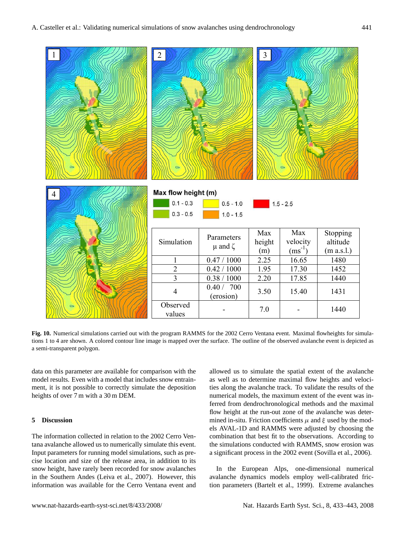

**Fig. 10.** Numerical simulations carried out with the program RAMMS for the 2002 Cerro Ventana event. Maximal flowheights for simulations 1 to 4 are shown. A colored contour line image is mapped over the surface. The outline of the observed avalanche event is depicted as a semi-transparent polygon.

data on this parameter are available for comparison with the model results. Even with a model that includes snow entrainment, it is not possible to correctly simulate the deposition heights of over 7 m with a 30 m DEM.

# **5 Discussion**

The information collected in relation to the 2002 Cerro Ventana avalanche allowed us to numerically simulate this event. Input parameters for running model simulations, such as precise location and size of the release area, in addition to its snow height, have rarely been recorded for snow avalanches in the Southern Andes (Leiva et al., 2007). However, this information was available for the Cerro Ventana event and allowed us to simulate the spatial extent of the avalanche as well as to determine maximal flow heights and velocities along the avalanche track. To validate the results of the numerical models, the maximum extent of the event was inferred from dendrochronological methods and the maximal flow height at the run-out zone of the avalanche was determined in-situ. Friction coefficients  $\mu$  and  $\xi$  used by the models AVAL-1D and RAMMS were adjusted by choosing the combination that best fit to the observations. According to the simulations conducted with RAMMS, snow erosion was a significant process in the 2002 event (Sovilla et al., 2006).

In the European Alps, one-dimensional numerical avalanche dynamics models employ well-calibrated friction parameters (Bartelt et al., 1999). Extreme avalanches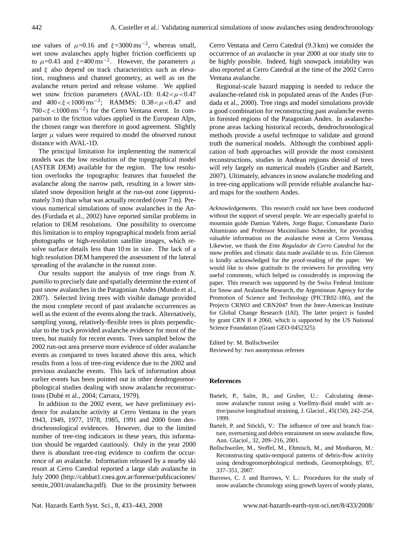use values of  $\mu$ =0.16 and  $\xi$ =3000 ms<sup>-2</sup>, whereas small, wet snow avalanches apply higher friction coefficients up to  $\mu$ =0.43 and  $\xi$ =400 ms<sup>-2</sup>. However, the parameters  $\mu$ and  $\xi$  also depend on track characteristics such as elevation, roughness and channel geometry, as well as on the avalanche return period and release volume. We applied wet snow friction parameters (AVAL-1D:  $0.42 < \mu < 0.47$ and  $400 < \xi < 1000 \,\text{ms}^{-2}$ ; RAMMS:  $0.38 < \mu < 0.47$  and 700  $< \xi$  < 1000 ms<sup>-2</sup>) for the Cerro Ventana event. In comparison to the friction values applied in the European Alps, the chosen range was therefore in good agreement. Slightly larger  $\mu$  values were required to model the observed runout distance with AVAL-1D.

The principal limitation for implementing the numerical models was the low resolution of the topographical model (ASTER DEM) available for the region. The low resolution overlooks the topographic features that funneled the avalanche along the narrow path, resulting in a lower simulated snow deposition height at the run-out zone (approximately 3 m) than what was actually recorded (over 7 m). Previous numerical simulations of snow avalanches in the Andes (Furdada et al., 2002) have reported similar problems in relation to DEM resolutions. One possibility to overcome this limitation is to employ topographical models from aerial photographs or high-resolution satellite images, which resolve surface details less than 10 m in size. The lack of a high resolution DEM hampered the assessment of the lateral spreading of the avalanche in the runout zone.

Our results support the analysis of tree rings from *N. pumilio* to precisely date and spatially determine the extent of past snow avalanches in the Patagonian Andes (Mundo et al., 2007). Selected living trees with visible damage provided the most complete record of past avalanche occurrences as well as the extent of the events along the track. Alternatively, sampling young, relatively-flexible trees in plots perpendicular to the track provided avalanche evidence for most of the trees, but mainly for recent events. Trees sampled below the 2002 run-out area preserve more evidence of older avalanche events as compared to trees located above this area, which results from a loss of tree-ring evidence due to the 2002 and previous avalanche events. This lack of information about earlier events has been pointed out in other dendrogeomorphological studies dealing with snow avalanche reconstructions (Dube et al., 2004; Carrara, 1979). ´

In addition to the 2002 event, we have preliminary evidence for avalanche activity at Cerro Ventana in the years 1943, 1949, 1977, 1978, 1985, 1991 and 2000 from dendrochronological evidences. However, due to the limited number of tree-ring indicators in these years, this information should be regarded cautiously. Only in the year 2000 there is abundant tree-ring evidence to confirm the occurrence of an avalanche. Information released by a nearby ski resort at Cerro Catedral reported a large slab avalanche in July 2000 [\(http://cabbat1.cnea.gov.ar/forense/publicaciones/](http://cabbat1.cnea.gov.ar/forense/publicaciones/semin_2001/avalancha.pdf) semin [2001/avalancha.pdf\)](http://cabbat1.cnea.gov.ar/forense/publicaciones/semin_2001/avalancha.pdf). Due to the proximity between Cerro Ventana and Cerro Catedral (9.3 km) we consider the occurrence of an avalanche in year 2000 at our study site to be highly possible. Indeed, high snowpack instability was also reported at Cerro Catedral at the time of the 2002 Cerro Ventana avalanche.

Regional-scale hazard mapping is needed to reduce the avalanche-related risk in populated areas of the Andes (Furdada et al., 2000). Tree rings and model simulations provide a good combination for reconstructing past avalanche events in forested regions of the Patagonian Andes. In avalancheprone areas lacking historical records, dendrochronological methods provide a useful technique to validate and ground truth the numerical models. Although the combined application of both approaches will provide the most consistent reconstructions, studies in Andean regions devoid of trees will rely largely on numerical models (Gruber and Bartelt, 2007). Ultimately, advances in snow avalanche modeling and in tree-ring applications will provide reliable avalanche hazard maps for the southern Andes.

*Acknowledgements.* This research could not have been conducted without the support of several people. We are especially grateful to mountain guide Damian Yabrés, Jorge Bagur, Comandante Darío Altamirano and Professor Maximiliano Schneider, for providing valuable information on the avalanche event at Cerro Ventana. Likewise, we thank the *Ente Regulador de Cerro Catedral* for the snow profiles and climatic data made available to us. Erin Gleeson is kindly acknowledged for the proof-reading of the paper. We would like to show gratitude to the reviewers for providing very useful comments, which helped us considerably in improving the paper. This research was supported by the Swiss Federal Institute for Snow and Avalanche Research, the Argentinean Agency for the Promotion of Science and Technology (PICTR02-186), and the Projects CRN03 and CRN2047 from the Inter-American Institute for Global Change Research (IAI). The latter project is funded by grant CRN II # 2060, which is supported by the US National Science Foundation (Grant GEO-0452325).

Edited by: M. Bollschweiler Reviewed by: two anonymous referees

#### **References**

- Bartelt, P., Salm, B., and Gruber, U.: Calculating densesnow avalanche runout using a Voellmy-fluid model with active/passive longitudinal straining, J. Glaciol., 45(150), 242–254, 1999.
- Bartelt, P. and Stöckli, V.: The influence of tree and branch fracture, overturning and debris entrainment on snow avalanche flow, Ann. Glaciol., 32, 209–216, 2001.
- Bollschweiler, M., Stoffel, M., Ehmisch, M., and Monbaron, M.: Reconstructing spatio-temporal patterns of debris-flow activity using dendrogeomorphological methods, Geomorphology, 87, 337–351, 2007.
- Burrows, C. J. and Burrows, V. L.: Procedures for the study of snow avalanche chronology using growth layers of woody plants,